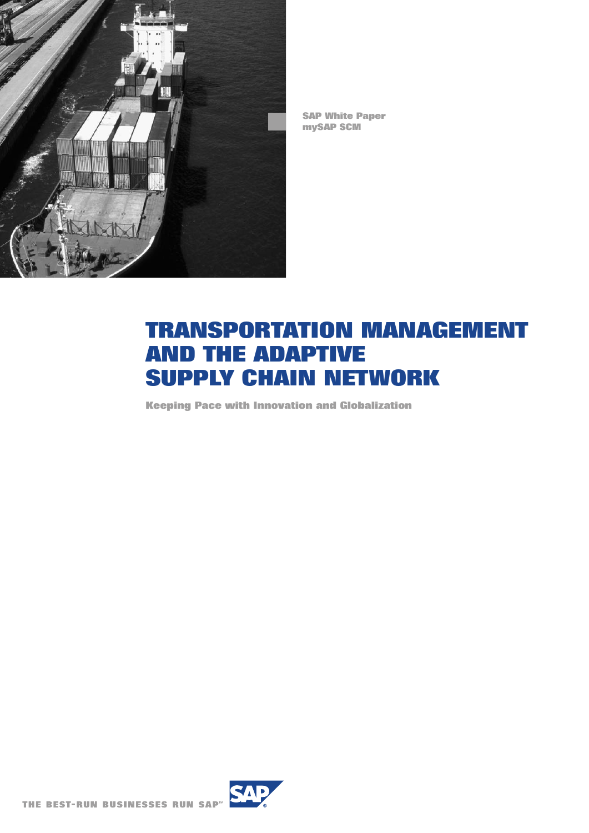

**SAP White Paper mySAP SCM**

# **TRANSPORTATION MANAGEMENT AND THE ADAPTIVE SUPPLY CHAIN NETWORK**

**Keeping Pace with Innovation and Globalization** 

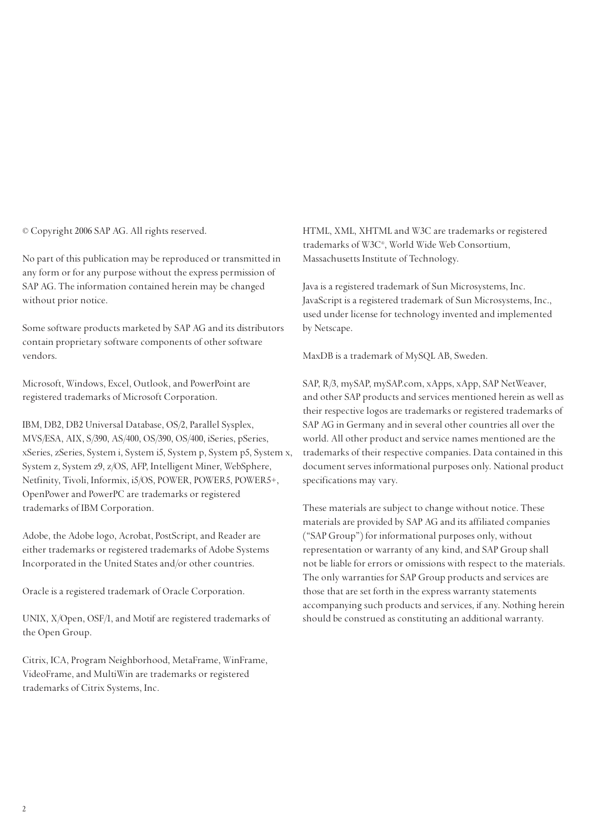© Copyright 2006 SAP AG. All rights reserved.

No part of this publication may be reproduced or transmitted in any form or for any purpose without the express permission of SAP AG. The information contained herein may be changed without prior notice.

Some software products marketed by SAP AG and its distributors contain proprietary software components of other software vendors.

Microsoft, Windows, Excel, Outlook, and PowerPoint are registered trademarks of Microsoft Corporation.

IBM, DB2, DB2 Universal Database, OS/2, Parallel Sysplex, MVS/ESA, AIX, S/390, AS/400, OS/390, OS/400, iSeries, pSeries, xSeries, zSeries, System i, System i5, System p, System p5, System x, System z, System z9, z/OS, AFP, Intelligent Miner, WebSphere, Netfinity, Tivoli, Informix, i5/OS, POWER, POWER5, POWER5+, OpenPower and PowerPC are trademarks or registered trademarks of IBM Corporation.

Adobe, the Adobe logo, Acrobat, PostScript, and Reader are either trademarks or registered trademarks of Adobe Systems Incorporated in the United States and/or other countries.

Oracle is a registered trademark of Oracle Corporation.

UNIX, X/Open, OSF/1, and Motif are registered trademarks of the Open Group.

Citrix, ICA, Program Neighborhood, MetaFrame, WinFrame, VideoFrame, and MultiWin are trademarks or registered trademarks of Citrix Systems, Inc.

HTML, XML, XHTML and W3C are trademarks or registered trademarks of W3C®, World Wide Web Consortium, Massachusetts Institute of Technology.

Java is a registered trademark of Sun Microsystems, Inc. JavaScript is a registered trademark of Sun Microsystems, Inc., used under license for technology invented and implemented by Netscape.

MaxDB is a trademark of MySQL AB, Sweden.

SAP, R/3, mySAP, mySAP.com, xApps, xApp, SAP NetWeaver, and other SAP products and services mentioned herein as well as their respective logos are trademarks or registered trademarks of SAP AG in Germany and in several other countries all over the world. All other product and service names mentioned are the trademarks of their respective companies. Data contained in this document serves informational purposes only. National product specifications may vary.

These materials are subject to change without notice. These materials are provided by SAP AG and its affiliated companies ("SAP Group") for informational purposes only, without representation or warranty of any kind, and SAP Group shall not be liable for errors or omissions with respect to the materials. The only warranties for SAP Group products and services are those that are set forth in the express warranty statements accompanying such products and services, if any. Nothing herein should be construed as constituting an additional warranty.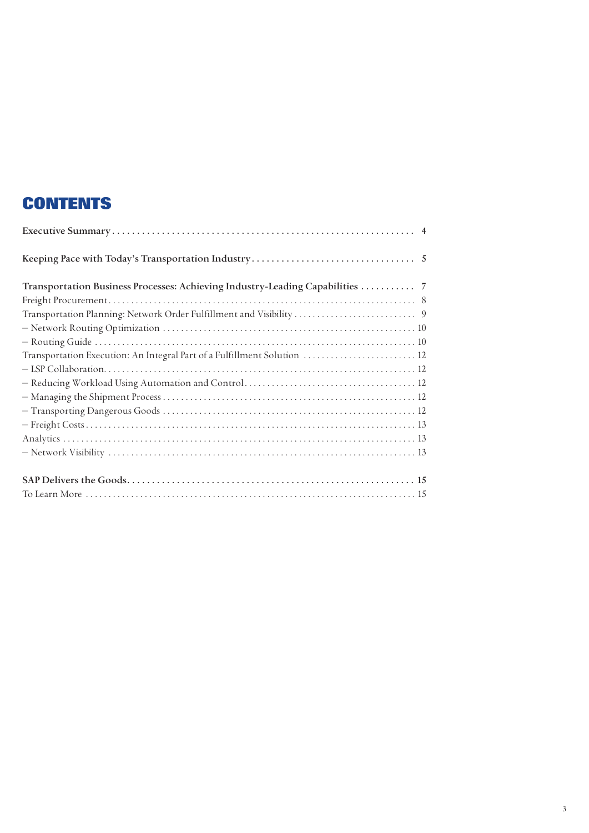# **CONTENTS**

| Transportation Business Processes: Achieving Industry-Leading Capabilities  7 |
|-------------------------------------------------------------------------------|
|                                                                               |
|                                                                               |
|                                                                               |
|                                                                               |
| Transportation Execution: An Integral Part of a Fulfillment Solution  12      |
|                                                                               |
|                                                                               |
|                                                                               |
|                                                                               |
|                                                                               |
|                                                                               |
|                                                                               |
|                                                                               |
|                                                                               |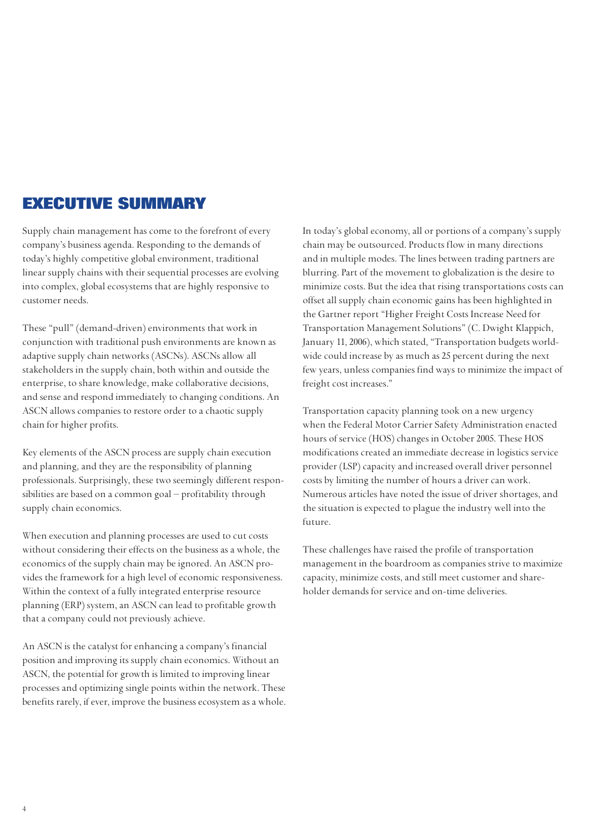# **EXECUTIVE SUMMARY**

Supply chain management has come to the forefront of every company's business agenda. Responding to the demands of today's highly competitive global environment, traditional linear supply chains with their sequential processes are evolving into complex, global ecosystems that are highly responsive to customer needs.

These "pull" (demand-driven) environments that work in conjunction with traditional push environments are known as adaptive supply chain networks (ASCNs). ASCNs allow all stakeholders in the supply chain, both within and outside the enterprise, to share knowledge, make collaborative decisions, and sense and respond immediately to changing conditions. An ASCN allows companies to restore order to a chaotic supply chain for higher profits.

Key elements of the ASCN process are supply chain execution and planning, and they are the responsibility of planning professionals. Surprisingly, these two seemingly different responsibilities are based on a common goal – profitability through supply chain economics.

When execution and planning processes are used to cut costs without considering their effects on the business as a whole, the economics of the supply chain may be ignored. An ASCN provides the framework for a high level of economic responsiveness. Within the context of a fully integrated enterprise resource planning (ERP) system, an ASCN can lead to profitable growth that a company could not previously achieve.

An ASCN is the catalyst for enhancing a company's financial position and improving its supply chain economics. Without an ASCN, the potential for growth is limited to improving linear processes and optimizing single points within the network. These benefits rarely, if ever, improve the business ecosystem as a whole. In today's global economy, all or portions of a company's supply chain may be outsourced. Products flow in many directions and in multiple modes. The lines between trading partners are blurring. Part of the movement to globalization is the desire to minimize costs. But the idea that rising transportations costs can offset all supply chain economic gains has been highlighted in the Gartner report "Higher Freight Costs Increase Need for Transportation Management Solutions" (C. Dwight Klappich, January 11, 2006), which stated, "Transportation budgets worldwide could increase by as much as 25 percent during the next few years, unless companies find ways to minimize the impact of freight cost increases."

Transportation capacity planning took on a new urgency when the Federal Motor Carrier Safety Administration enacted hours of service (HOS) changes in October 2005. These HOS modifications created an immediate decrease in logistics service provider (LSP) capacity and increased overall driver personnel costs by limiting the number of hours a driver can work. Numerous articles have noted the issue of driver shortages, and the situation is expected to plague the industry well into the future.

These challenges have raised the profile of transportation management in the boardroom as companies strive to maximize capacity, minimize costs, and still meet customer and shareholder demands for service and on-time deliveries.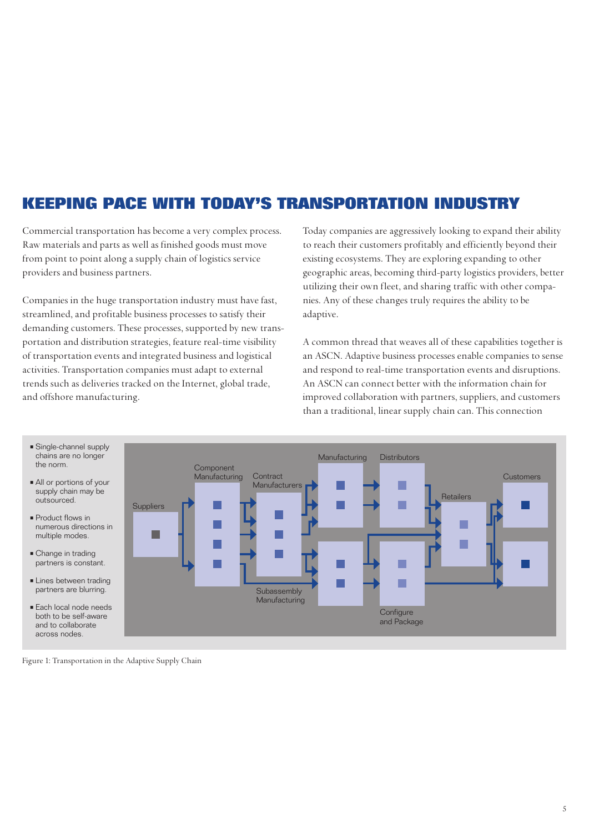# **KEEPING PACE WITH TODAY'S TRANSPORTATION INDUSTRY**

Commercial transportation has become a very complex process. Raw materials and parts as well as finished goods must move from point to point along a supply chain of logistics service providers and business partners.

Companies in the huge transportation industry must have fast, streamlined, and profitable business processes to satisfy their demanding customers. These processes, supported by new transportation and distribution strategies, feature real-time visibility of transportation events and integrated business and logistical activities. Transportation companies must adapt to external trends such as deliveries tracked on the Internet, global trade, and offshore manufacturing.

Today companies are aggressively looking to expand their ability to reach their customers profitably and efficiently beyond their existing ecosystems. They are exploring expanding to other geographic areas, becoming third-party logistics providers, better utilizing their own fleet, and sharing traffic with other companies. Any of these changes truly requires the ability to be adaptive.

A common thread that weaves all of these capabilities together is an ASCN. Adaptive business processes enable companies to sense and respond to real-time transportation events and disruptions. An ASCN can connect better with the information chain for improved collaboration with partners, suppliers, and customers than a traditional, linear supply chain can. This connection



Figure 1: Transportation in the Adaptive Supply Chain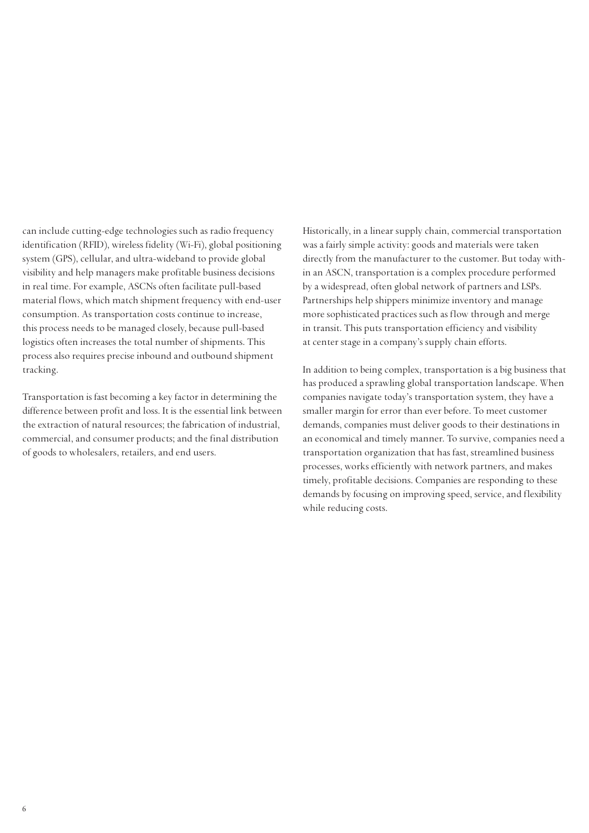can include cutting-edge technologies such as radio frequency identification (RFID), wireless fidelity (Wi-Fi), global positioning system (GPS), cellular, and ultra-wideband to provide global visibility and help managers make profitable business decisions in real time. For example, ASCNs often facilitate pull-based material flows, which match shipment frequency with end-user consumption. As transportation costs continue to increase, this process needs to be managed closely, because pull-based logistics often increases the total number of shipments. This process also requires precise inbound and outbound shipment tracking.

Transportation is fast becoming a key factor in determining the difference between profit and loss. It is the essential link between the extraction of natural resources; the fabrication of industrial, commercial, and consumer products; and the final distribution of goods to wholesalers, retailers, and end users.

Historically, in a linear supply chain, commercial transportation was a fairly simple activity: goods and materials were taken directly from the manufacturer to the customer. But today within an ASCN, transportation is a complex procedure performed by a widespread, often global network of partners and LSPs. Partnerships help shippers minimize inventory and manage more sophisticated practices such as flow through and merge in transit. This puts transportation efficiency and visibility at center stage in a company's supply chain efforts.

In addition to being complex, transportation is a big business that has produced a sprawling global transportation landscape. When companies navigate today's transportation system, they have a smaller margin for error than ever before. To meet customer demands, companies must deliver goods to their destinations in an economical and timely manner. To survive, companies need a transportation organization that has fast, streamlined business processes, works efficiently with network partners, and makes timely, profitable decisions. Companies are responding to these demands by focusing on improving speed, service, and flexibility while reducing costs.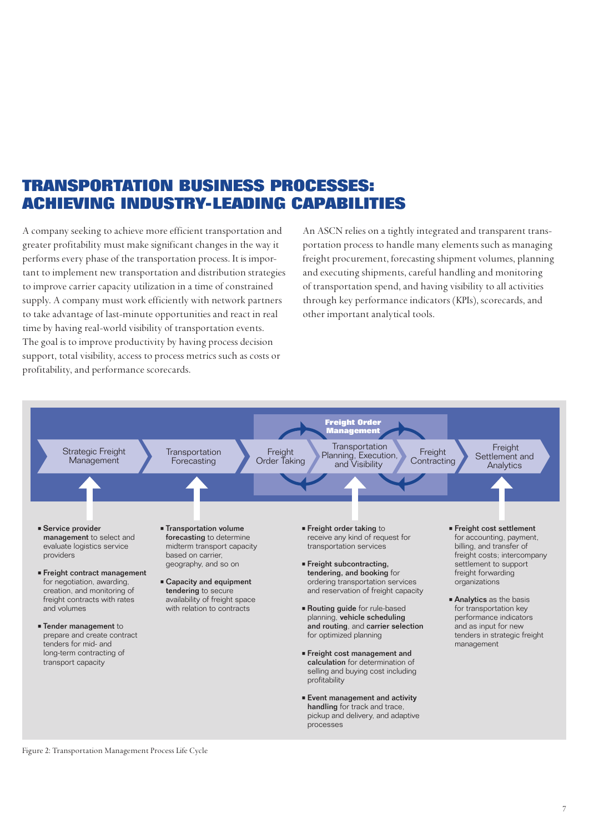# **TRANSPORTATION BUSINESS PROCESSES: ACHIEVING INDUSTRY-LEADING CAPABILITIES**

A company seeking to achieve more efficient transportation and greater profitability must make significant changes in the way it performs every phase of the transportation process. It is important to implement new transportation and distribution strategies to improve carrier capacity utilization in a time of constrained supply. A company must work efficiently with network partners to take advantage of last-minute opportunities and react in real time by having real-world visibility of transportation events. The goal is to improve productivity by having process decision support, total visibility, access to process metrics such as costs or profitability, and performance scorecards.

An ASCN relies on a tightly integrated and transparent transportation process to handle many elements such as managing freight procurement, forecasting shipment volumes, planning and executing shipments, careful handling and monitoring of transportation spend, and having visibility to all activities through key performance indicators (KPIs), scorecards, and other important analytical tools.



Figure 2: Transportation Management Process Life Cycle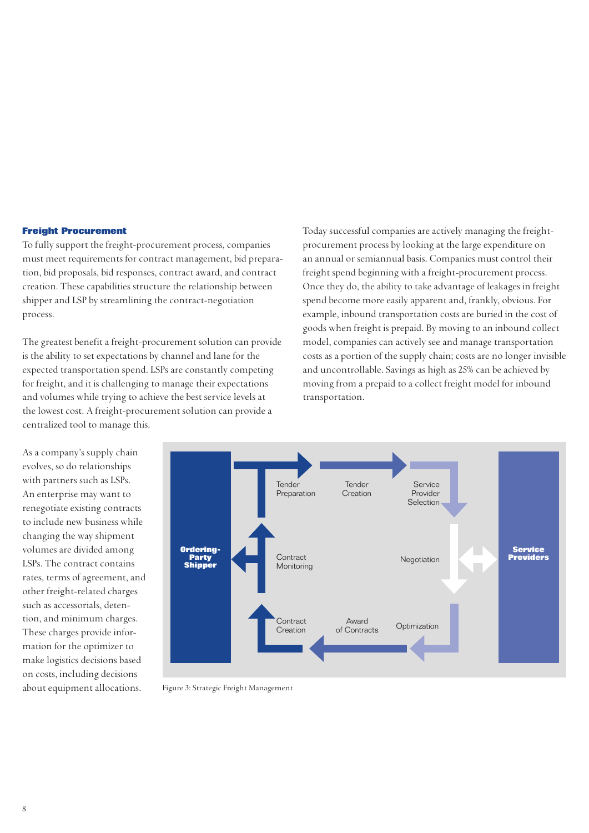#### **Freight Procurement**

To fully support the freight-procurement process, companies must meet requirements for contract management, bid preparation, bid proposals, bid responses, contract award, and contract creation. These capabilities structure the relationship between shipper and LSP by streamlining the contract-negotiation process.

The greatest benefit a freight-procurement solution can provide is the ability to set expectations by channel and lane for the expected transportation spend. LSPs are constantly competing for freight, and it is challenging to manage their expectations and volumes while trying to achieve the best service levels at the lowest cost. A freight-procurement solution can provide a centralized tool to manage this.

Today successful companies are actively managing the freightprocurement process by looking at the large expenditure on an annual or semiannual basis. Companies must control their freight spend beginning with a freight-procurement process. Once they do, the ability to take advantage of leakages in freight spend become more easily apparent and, frankly, obvious. For example, inbound transportation costs are buried in the cost of goods when freight is prepaid. By moving to an inbound collect model, companies can actively see and manage transportation costs as a portion of the supply chain; costs are no longer invisible and uncontrollable. Savings as high as 25% can be achieved by moving from a prepaid to a collect freight model for inbound transportation.

> **Service Providers**



about equipment allocations. Figure 3: Strategic Freight Management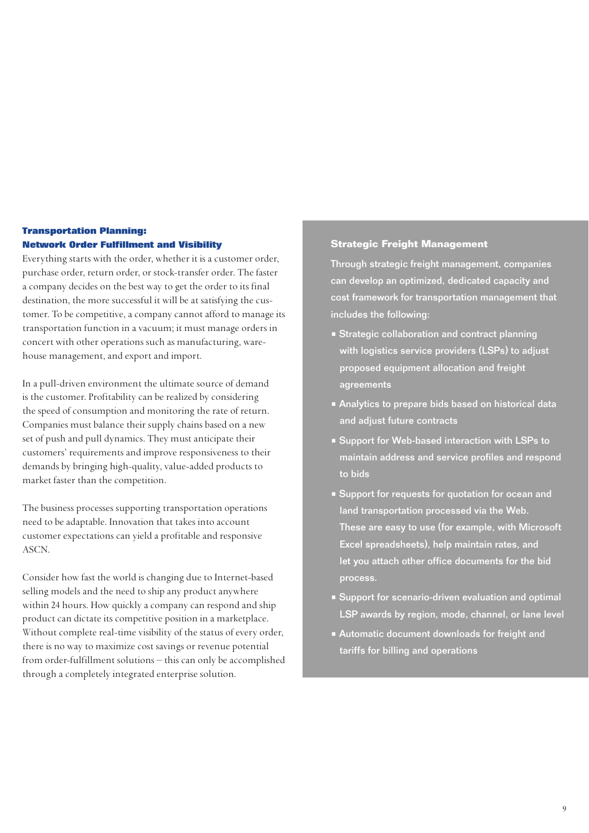# **Transportation Planning: Network Order Fulfillment and Visibility**

Everything starts with the order, whether it is a customer order, purchase order, return order, or stock-transfer order. The faster a company decides on the best way to get the order to its final destination, the more successful it will be at satisfying the customer. To be competitive, a company cannot afford to manage its transportation function in a vacuum; it must manage orders in concert with other operations such as manufacturing, warehouse management, and export and import.

In a pull-driven environment the ultimate source of demand is the customer. Profitability can be realized by considering the speed of consumption and monitoring the rate of return. Companies must balance their supply chains based on a new set of push and pull dynamics. They must anticipate their customers' requirements and improve responsiveness to their demands by bringing high-quality, value-added products to market faster than the competition.

The business processes supporting transportation operations need to be adaptable. Innovation that takes into account customer expectations can yield a profitable and responsive ASCN.

Consider how fast the world is changing due to Internet-based selling models and the need to ship any product anywhere within 24 hours. How quickly a company can respond and ship product can dictate its competitive position in a marketplace. Without complete real-time visibility of the status of every order, there is no way to maximize cost savings or revenue potential from order-fulfillment solutions – this can only be accomplished through a completely integrated enterprise solution.

### **Strategic Freight Management**

Through strategic freight management, companies can develop an optimized, dedicated capacity and cost framework for transportation management that includes the following:

- **•** Strategic collaboration and contract planning with logistics service providers (LSPs) to adjust proposed equipment allocation and freight agreements
- **•** Analytics to prepare bids based on historical data and adjust future contracts
- **•** Support for Web-based interaction with LSPs to maintain address and service profiles and respond to bids
- **•** Support for requests for quotation for ocean and land transportation processed via the Web. These are easy to use (for example, with Microsoft Excel spreadsheets), help maintain rates, and let you attach other office documents for the bid process.
- **•** Support for scenario-driven evaluation and optimal LSP awards by region, mode, channel, or lane level
- **•** Automatic document downloads for freight and tariffs for billing and operations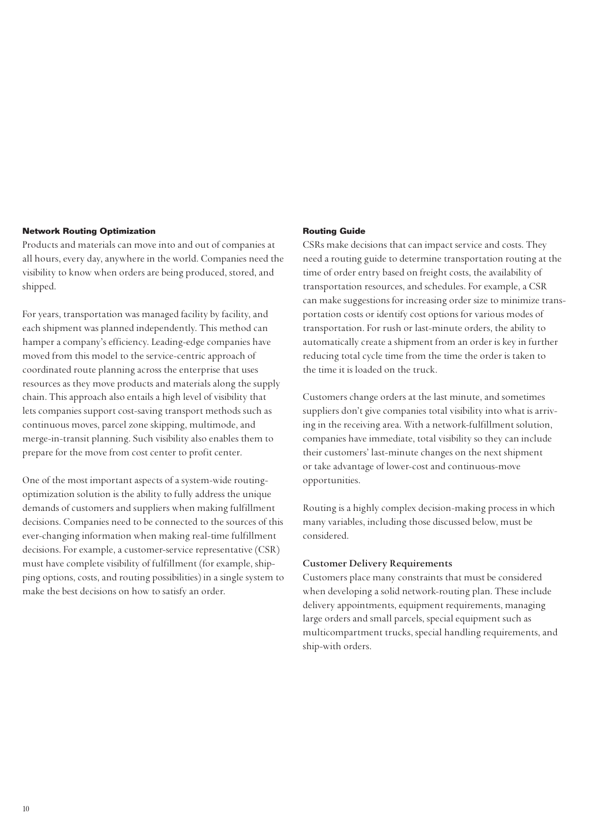#### **Network Routing Optimization**

Products and materials can move into and out of companies at all hours, every day, anywhere in the world. Companies need the visibility to know when orders are being produced, stored, and shipped.

For years, transportation was managed facility by facility, and each shipment was planned independently. This method can hamper a company's efficiency. Leading-edge companies have moved from this model to the service-centric approach of coordinated route planning across the enterprise that uses resources as they move products and materials along the supply chain. This approach also entails a high level of visibility that lets companies support cost-saving transport methods such as continuous moves, parcel zone skipping, multimode, and merge-in-transit planning. Such visibility also enables them to prepare for the move from cost center to profit center.

One of the most important aspects of a system-wide routingoptimization solution is the ability to fully address the unique demands of customers and suppliers when making fulfillment decisions. Companies need to be connected to the sources of this ever-changing information when making real-time fulfillment decisions. For example, a customer-service representative (CSR) must have complete visibility of fulfillment (for example, shipping options, costs, and routing possibilities) in a single system to make the best decisions on how to satisfy an order.

#### **Routing Guide**

CSRs make decisions that can impact service and costs. They need a routing guide to determine transportation routing at the time of order entry based on freight costs, the availability of transportation resources, and schedules. For example, a CSR can make suggestions for increasing order size to minimize transportation costs or identify cost options for various modes of transportation. For rush or last-minute orders, the ability to automatically create a shipment from an order is key in further reducing total cycle time from the time the order is taken to the time it is loaded on the truck.

Customers change orders at the last minute, and sometimes suppliers don't give companies total visibility into what is arriving in the receiving area. With a network-fulfillment solution, companies have immediate, total visibility so they can include their customers' last-minute changes on the next shipment or take advantage of lower-cost and continuous-move opportunities.

Routing is a highly complex decision-making process in which many variables, including those discussed below, must be considered.

#### **Customer Delivery Requirements**

Customers place many constraints that must be considered when developing a solid network-routing plan. These include delivery appointments, equipment requirements, managing large orders and small parcels, special equipment such as multicompartment trucks, special handling requirements, and ship-with orders.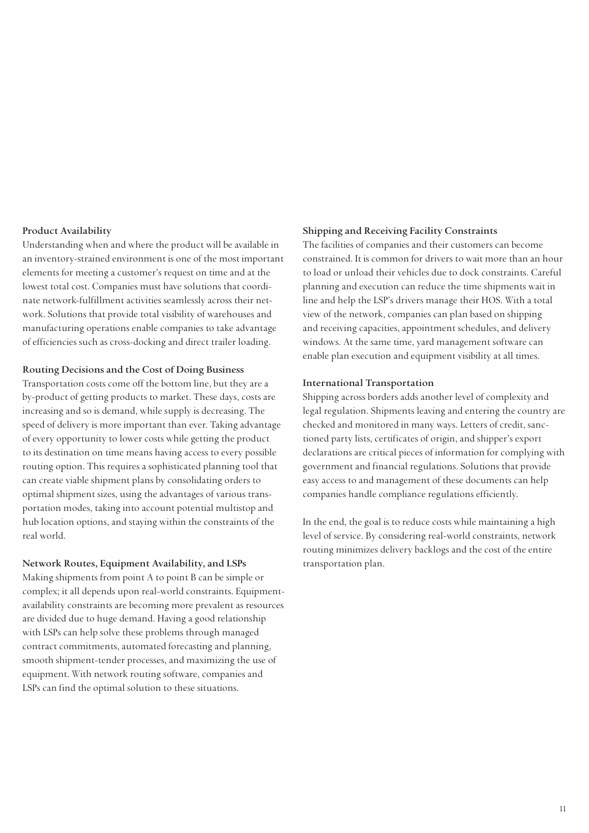#### **Product Availability**

Understanding when and where the product will be available in an inventory-strained environment is one of the most important elements for meeting a customer's request on time and at the lowest total cost. Companies must have solutions that coordinate network-fulfillment activities seamlessly across their network. Solutions that provide total visibility of warehouses and manufacturing operations enable companies to take advantage of efficiencies such as cross-docking and direct trailer loading.

### **Routing Decisions and the Cost of Doing Business**

Transportation costs come off the bottom line, but they are a by-product of getting products to market. These days, costs are increasing and so is demand, while supply is decreasing. The speed of delivery is more important than ever. Taking advantage of every opportunity to lower costs while getting the product to its destination on time means having access to every possible routing option. This requires a sophisticated planning tool that can create viable shipment plans by consolidating orders to optimal shipment sizes, using the advantages of various transportation modes, taking into account potential multistop and hub location options, and staying within the constraints of the real world.

**Network Routes, Equipment Availability, and LSPs** 

Making shipments from point A to point B can be simple or complex; it all depends upon real-world constraints. Equipmentavailability constraints are becoming more prevalent as resources are divided due to huge demand. Having a good relationship with LSPs can help solve these problems through managed contract commitments, automated forecasting and planning, smooth shipment-tender processes, and maximizing the use of equipment. With network routing software, companies and LSPs can find the optimal solution to these situations.

## **Shipping and Receiving Facility Constraints**

The facilities of companies and their customers can become constrained. It is common for drivers to wait more than an hour to load or unload their vehicles due to dock constraints. Careful planning and execution can reduce the time shipments wait in line and help the LSP's drivers manage their HOS. With a total view of the network, companies can plan based on shipping and receiving capacities, appointment schedules, and delivery windows. At the same time, yard management software can enable plan execution and equipment visibility at all times.

### **International Transportation**

Shipping across borders adds another level of complexity and legal regulation. Shipments leaving and entering the country are checked and monitored in many ways. Letters of credit, sanctioned party lists, certificates of origin, and shipper's export declarations are critical pieces of information for complying with government and financial regulations. Solutions that provide easy access to and management of these documents can help companies handle compliance regulations efficiently.

In the end, the goal is to reduce costs while maintaining a high level of service. By considering real-world constraints, network routing minimizes delivery backlogs and the cost of the entire transportation plan.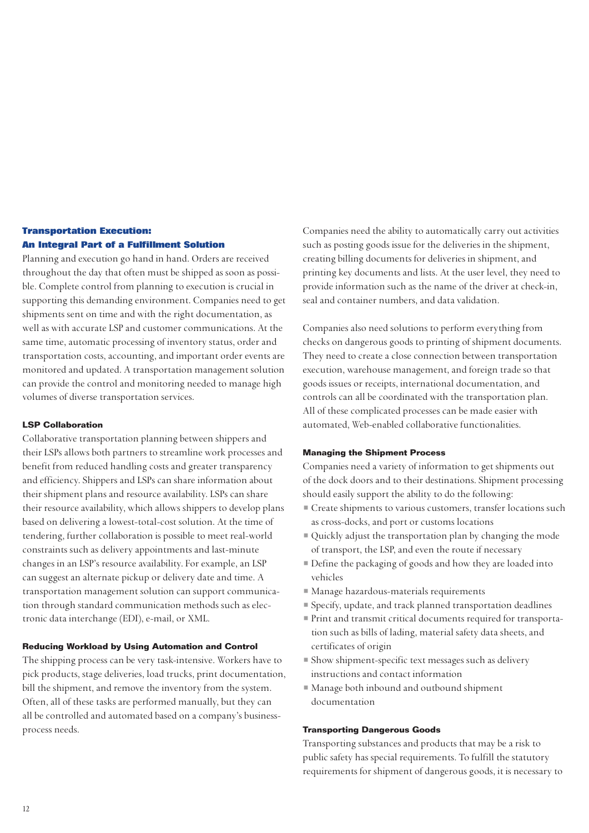# **Transportation Execution: An Integral Part of a Fulfillment Solution**

Planning and execution go hand in hand. Orders are received throughout the day that often must be shipped as soon as possible. Complete control from planning to execution is crucial in supporting this demanding environment. Companies need to get shipments sent on time and with the right documentation, as well as with accurate LSP and customer communications. At the same time, automatic processing of inventory status, order and transportation costs, accounting, and important order events are monitored and updated. A transportation management solution can provide the control and monitoring needed to manage high volumes of diverse transportation services.

### **LSP Collaboration**

Collaborative transportation planning between shippers and their LSPs allows both partners to streamline work processes and benefit from reduced handling costs and greater transparency and efficiency. Shippers and LSPs can share information about their shipment plans and resource availability. LSPs can share their resource availability, which allows shippers to develop plans based on delivering a lowest-total-cost solution. At the time of tendering, further collaboration is possible to meet real-world constraints such as delivery appointments and last-minute changes in an LSP's resource availability. For example, an LSP can suggest an alternate pickup or delivery date and time. A transportation management solution can support communication through standard communication methods such as electronic data interchange (EDI), e-mail, or XML.

### **Reducing Workload by Using Automation and Control**

The shipping process can be very task-intensive. Workers have to pick products, stage deliveries, load trucks, print documentation, bill the shipment, and remove the inventory from the system. Often, all of these tasks are performed manually, but they can all be controlled and automated based on a company's businessprocess needs.

Companies need the ability to automatically carry out activities such as posting goods issue for the deliveries in the shipment, creating billing documents for deliveries in shipment, and printing key documents and lists. At the user level, they need to provide information such as the name of the driver at check-in, seal and container numbers, and data validation.

Companies also need solutions to perform everything from checks on dangerous goods to printing of shipment documents. They need to create a close connection between transportation execution, warehouse management, and foreign trade so that goods issues or receipts, international documentation, and controls can all be coordinated with the transportation plan. All of these complicated processes can be made easier with automated, Web-enabled collaborative functionalities.

#### **Managing the Shipment Process**

Companies need a variety of information to get shipments out of the dock doors and to their destinations. Shipment processing should easily support the ability to do the following:

- **•** Create shipments to various customers, transfer locations such as cross-docks, and port or customs locations
- **•** Quickly adjust the transportation plan by changing the mode of transport, the LSP, and even the route if necessary
- **•** Define the packaging of goods and how they are loaded into vehicles
- **•** Manage hazardous-materials requirements
- **•** Specify, update, and track planned transportation deadlines
- **•** Print and transmit critical documents required for transportation such as bills of lading, material safety data sheets, and certificates of origin
- **•** Show shipment-specific text messages such as delivery instructions and contact information
- **•** Manage both inbound and outbound shipment documentation

# **Transporting Dangerous Goods**

Transporting substances and products that may be a risk to public safety has special requirements. To fulfill the statutory requirements for shipment of dangerous goods, it is necessary to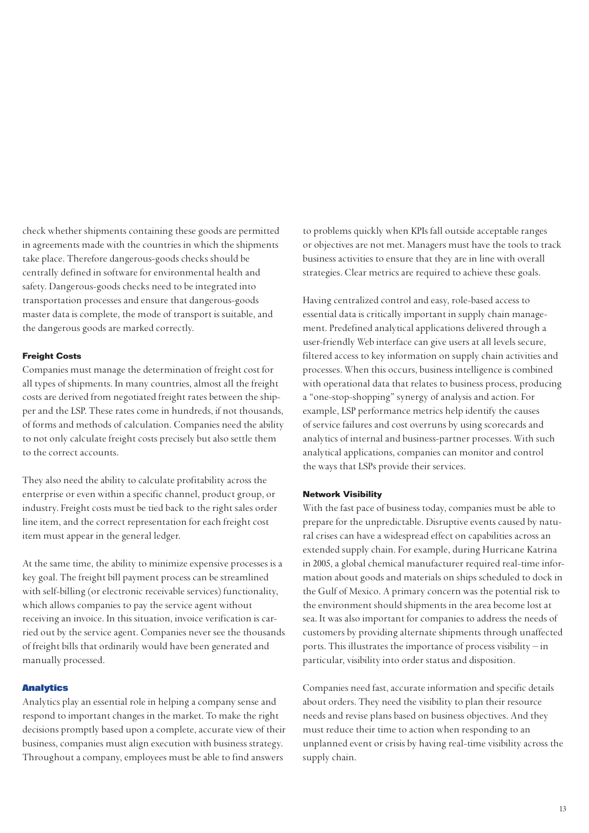check whether shipments containing these goods are permitted in agreements made with the countries in which the shipments take place. Therefore dangerous-goods checks should be centrally defined in software for environmental health and safety. Dangerous-goods checks need to be integrated into transportation processes and ensure that dangerous-goods master data is complete, the mode of transport is suitable, and the dangerous goods are marked correctly.

#### **Freight Costs**

Companies must manage the determination of freight cost for all types of shipments. In many countries, almost all the freight costs are derived from negotiated freight rates between the shipper and the LSP. These rates come in hundreds, if not thousands, of forms and methods of calculation. Companies need the ability to not only calculate freight costs precisely but also settle them to the correct accounts.

They also need the ability to calculate profitability across the enterprise or even within a specific channel, product group, or industry. Freight costs must be tied back to the right sales order line item, and the correct representation for each freight cost item must appear in the general ledger.

At the same time, the ability to minimize expensive processes is a key goal. The freight bill payment process can be streamlined with self-billing (or electronic receivable services) functionality, which allows companies to pay the service agent without receiving an invoice. In this situation, invoice verification is carried out by the service agent. Companies never see the thousands of freight bills that ordinarily would have been generated and manually processed.

### **Analytics**

Analytics play an essential role in helping a company sense and respond to important changes in the market. To make the right decisions promptly based upon a complete, accurate view of their business, companies must align execution with business strategy. Throughout a company, employees must be able to find answers

to problems quickly when KPIs fall outside acceptable ranges or objectives are not met. Managers must have the tools to track business activities to ensure that they are in line with overall strategies. Clear metrics are required to achieve these goals.

Having centralized control and easy, role-based access to essential data is critically important in supply chain management. Predefined analytical applications delivered through a user-friendly Web interface can give users at all levels secure, filtered access to key information on supply chain activities and processes. When this occurs, business intelligence is combined with operational data that relates to business process, producing a "one-stop-shopping" synergy of analysis and action. For example, LSP performance metrics help identify the causes of service failures and cost overruns by using scorecards and analytics of internal and business-partner processes. With such analytical applications, companies can monitor and control the ways that LSPs provide their services.

#### **Network Visibility**

With the fast pace of business today, companies must be able to prepare for the unpredictable. Disruptive events caused by natural crises can have a widespread effect on capabilities across an extended supply chain. For example, during Hurricane Katrina in 2005, a global chemical manufacturer required real-time information about goods and materials on ships scheduled to dock in the Gulf of Mexico. A primary concern was the potential risk to the environment should shipments in the area become lost at sea. It was also important for companies to address the needs of customers by providing alternate shipments through unaffected ports. This illustrates the importance of process visibility – in particular, visibility into order status and disposition.

Companies need fast, accurate information and specific details about orders. They need the visibility to plan their resource needs and revise plans based on business objectives. And they must reduce their time to action when responding to an unplanned event or crisis by having real-time visibility across the supply chain.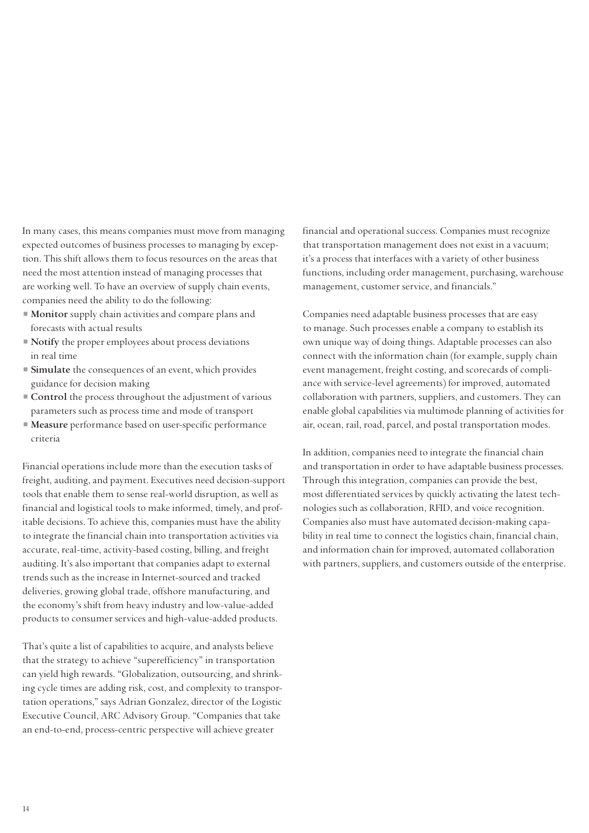In many cases, this means companies must move from managing expected outcomes of business processes to managing by exception. This shift allows them to focus resources on the areas that need the most attention instead of managing processes that are working well. To have an overview of supply chain events, companies need the ability to do the following:

- **• Monitor** supply chain activities and compare plans and forecasts with actual results
- **• Notify** the proper employees about process deviations in real time
- **• Simulate** the consequences of an event, which provides guidance for decision making
- **• Control** the process throughout the adjustment of various parameters such as process time and mode of transport
- **• Measure** performance based on user-specific performance criteria

Financial operations include more than the execution tasks of freight, auditing, and payment. Executives need decision-support tools that enable them to sense real-world disruption, as well as financial and logistical tools to make informed, timely, and profitable decisions. To achieve this, companies must have the ability to integrate the financial chain into transportation activities via accurate, real-time, activity-based costing, billing, and freight auditing. It's also important that companies adapt to external trends such as the increase in Internet-sourced and tracked deliveries, growing global trade, offshore manufacturing, and the economy's shift from heavy industry and low-value-added products to consumer services and high-value-added products.

That's quite a list of capabilities to acquire, and analysts believe that the strategy to achieve "superefficiency" in transportation can yield high rewards. "Globalization, outsourcing, and shrinking cycle times are adding risk, cost, and complexity to transportation operations," says Adrian Gonzalez, director of the Logistic Executive Council, ARC Advisory Group. "Companies that take an end-to-end, process-centric perspective will achieve greater

financial and operational success. Companies must recognize that transportation management does not exist in a vacuum; it's a process that interfaces with a variety of other business functions, including order management, purchasing, warehouse management, customer service, and financials."

Companies need adaptable business processes that are easy to manage. Such processes enable a company to establish its own unique way of doing things. Adaptable processes can also connect with the information chain (for example, supply chain event management, freight costing, and scorecards of compliance with service-level agreements) for improved, automated collaboration with partners, suppliers, and customers. They can enable global capabilities via multimode planning of activities for air, ocean, rail, road, parcel, and postal transportation modes.

In addition, companies need to integrate the financial chain and transportation in order to have adaptable business processes. Through this integration, companies can provide the best, most differentiated services by quickly activating the latest technologies such as collaboration, RFID, and voice recognition. Companies also must have automated decision-making capability in real time to connect the logistics chain, financial chain, and information chain for improved, automated collaboration with partners, suppliers, and customers outside of the enterprise.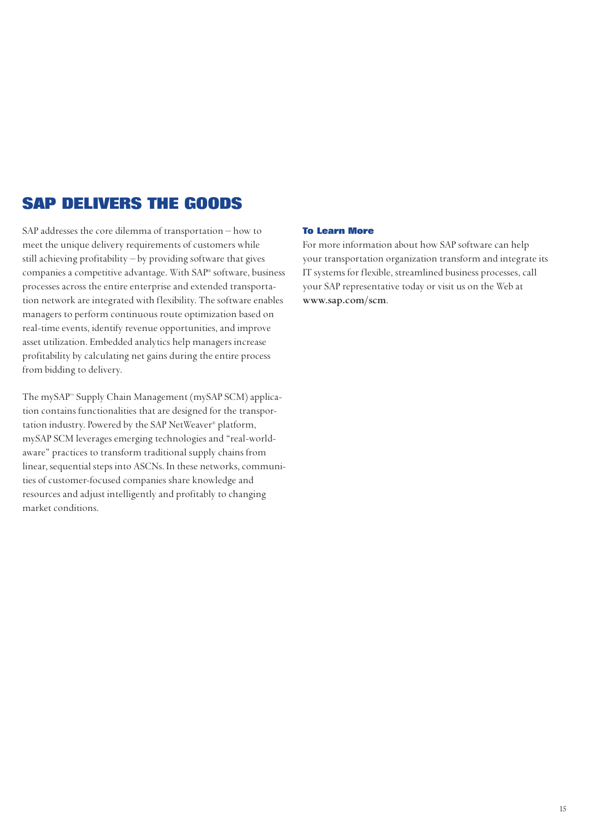# **SAP DELIVERS THE GOODS**

SAP addresses the core dilemma of transportation – how to meet the unique delivery requirements of customers while still achieving profitability – by providing software that gives companies a competitive advantage. With SAP® software, business processes across the entire enterprise and extended transportation network are integrated with flexibility. The software enables managers to perform continuous route optimization based on real-time events, identify revenue opportunities, and improve asset utilization. Embedded analytics help managers increase profitability by calculating net gains during the entire process from bidding to delivery.

The mySAP™ Supply Chain Management (mySAP SCM) application contains functionalities that are designed for the transportation industry. Powered by the SAP NetWeaver® platform, mySAP SCM leverages emerging technologies and "real-worldaware" practices to transform traditional supply chains from linear, sequential steps into ASCNs. In these networks, communities of customer-focused companies share knowledge and resources and adjust intelligently and profitably to changing market conditions.

#### **To Learn More**

For more information about how SAP software can help your transportation organization transform and integrate its IT systems for flexible, streamlined business processes, call your SAP representative today or visit us on the Web at **www.sap.com/scm**.